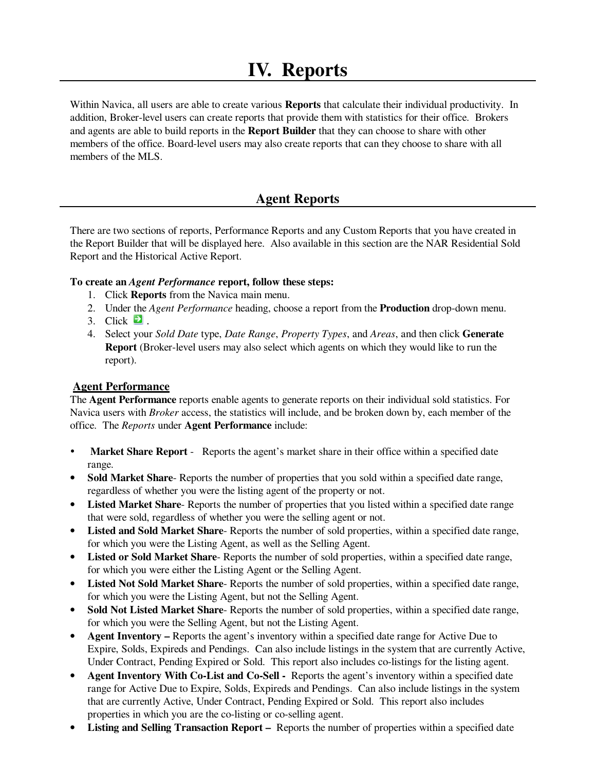# **IV. Reports**

Within Navica, all users are able to create various **Reports** that calculate their individual productivity. In addition, Broker-level users can create reports that provide them with statistics for their office. Brokers and agents are able to build reports in the **Report Builder** that they can choose to share with other members of the office. Board-level users may also create reports that can they choose to share with all members of the MLS.

# **Agent Reports**

There are two sections of reports, Performance Reports and any Custom Reports that you have created in the Report Builder that will be displayed here. Also available in this section are the NAR Residential Sold Report and the Historical Active Report.

#### **To create an** *Agent Performance* **report, follow these steps:**

- 1. Click **Reports** from the Navica main menu.
- 2. Under the *Agent Performance* heading, choose a report from the **Production** drop-down menu.
- 3. Click  $\blacksquare$
- 4. Select your *Sold Date* type, *Date Range*, *Property Types*, and *Areas*, and then click **Generate Report** (Broker-level users may also select which agents on which they would like to run the report).

#### **Agent Performance**

The **Agent Performance** reports enable agents to generate reports on their individual sold statistics. For Navica users with *Broker* access, the statistics will include, and be broken down by, each member of the office. The *Reports* under **Agent Performance** include:

- **Market Share Report** Reports the agent's market share in their office within a specified date range.
- **Sold Market Share-** Reports the number of properties that you sold within a specified date range, regardless of whether you were the listing agent of the property or not.
- Listed Market Share-Reports the number of properties that you listed within a specified date range that were sold, regardless of whether you were the selling agent or not.
- **Listed and Sold Market Share** Reports the number of sold properties, within a specified date range, for which you were the Listing Agent, as well as the Selling Agent.
- **Listed or Sold Market Share** Reports the number of sold properties, within a specified date range, for which you were either the Listing Agent or the Selling Agent.
- **Listed Not Sold Market Share** Reports the number of sold properties, within a specified date range, for which you were the Listing Agent, but not the Selling Agent.
- **Sold Not Listed Market Share** Reports the number of sold properties, within a specified date range, for which you were the Selling Agent, but not the Listing Agent.
- **Agent Inventory** Reports the agent's inventory within a specified date range for Active Due to Expire, Solds, Expireds and Pendings. Can also include listings in the system that are currently Active, Under Contract, Pending Expired or Sold. This report also includes co-listings for the listing agent.
- **Agent Inventory With Co-List and Co-Sell** Reports the agent's inventory within a specified date range for Active Due to Expire, Solds, Expireds and Pendings. Can also include listings in the system that are currently Active, Under Contract, Pending Expired or Sold. This report also includes properties in which you are the co-listing or co-selling agent.
- **Listing and Selling Transaction Report** Reports the number of properties within a specified date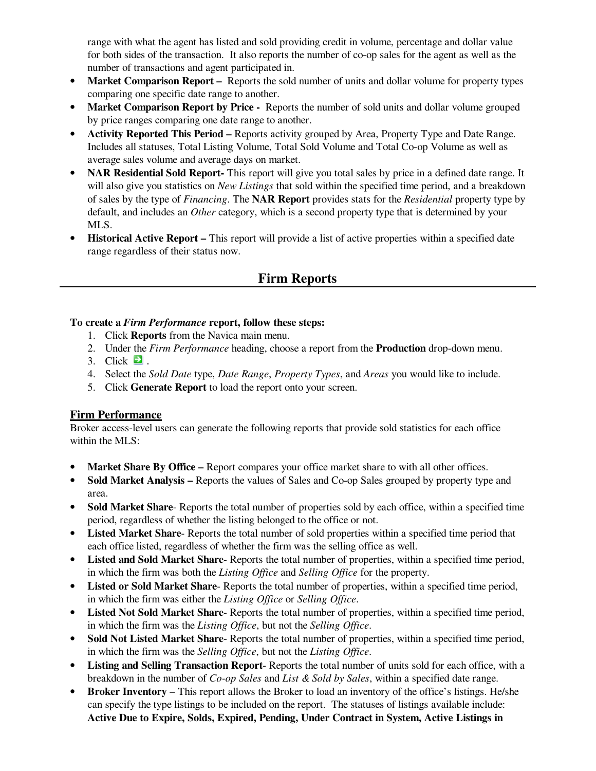range with what the agent has listed and sold providing credit in volume, percentage and dollar value for both sides of the transaction. It also reports the number of co-op sales for the agent as well as the number of transactions and agent participated in.

- **Market Comparison Report** Reports the sold number of units and dollar volume for property types comparing one specific date range to another.
- **Market Comparison Report by Price** Reports the number of sold units and dollar volume grouped by price ranges comparing one date range to another.
- **Activity Reported This Period** Reports activity grouped by Area, Property Type and Date Range. Includes all statuses, Total Listing Volume, Total Sold Volume and Total Co-op Volume as well as average sales volume and average days on market.
- **NAR Residential Sold Report-** This report will give you total sales by price in a defined date range. It will also give you statistics on *New Listings* that sold within the specified time period, and a breakdown of sales by the type of *Financing*. The **NAR Report** provides stats for the *Residential* property type by default, and includes an *Other* category, which is a second property type that is determined by your MLS.
- **Historical Active Report** This report will provide a list of active properties within a specified date range regardless of their status now.

# **Firm Reports**

#### **To create a** *Firm Performance* **report, follow these steps:**

- 1. Click **Reports** from the Navica main menu.
- 2. Under the *Firm Performance* heading, choose a report from the **Production** drop-down menu.
- 3. Click  $\Box$ .
- 4. Select the *Sold Date* type, *Date Range*, *Property Types*, and *Areas* you would like to include.
- 5. Click **Generate Report** to load the report onto your screen.

### **Firm Performance**

Broker access-level users can generate the following reports that provide sold statistics for each office within the MLS:

- **Market Share By Office** Report compares your office market share to with all other offices.
- **Sold Market Analysis Reports the values of Sales and Co-op Sales grouped by property type and** area.
- **Sold Market Share** Reports the total number of properties sold by each office, within a specified time period, regardless of whether the listing belonged to the office or not.
- **Listed Market Share** Reports the total number of sold properties within a specified time period that each office listed, regardless of whether the firm was the selling office as well.
- **Listed and Sold Market Share** Reports the total number of properties, within a specified time period, in which the firm was both the *Listing Office* and *Selling Office* for the property.
- **Listed or Sold Market Share-** Reports the total number of properties, within a specified time period, in which the firm was either the *Listing Office* or *Selling Office*.
- **Listed Not Sold Market Share** Reports the total number of properties, within a specified time period, in which the firm was the *Listing Office*, but not the *Selling Office*.
- **Sold Not Listed Market Share** Reports the total number of properties, within a specified time period, in which the firm was the *Selling Office*, but not the *Listing Office*.
- **Listing and Selling Transaction Report** Reports the total number of units sold for each office, with a breakdown in the number of *Co-op Sales* and *List & Sold by Sales*, within a specified date range.
- **Broker Inventory**  This report allows the Broker to load an inventory of the office's listings. He/she can specify the type listings to be included on the report. The statuses of listings available include: **Active Due to Expire, Solds, Expired, Pending, Under Contract in System, Active Listings in**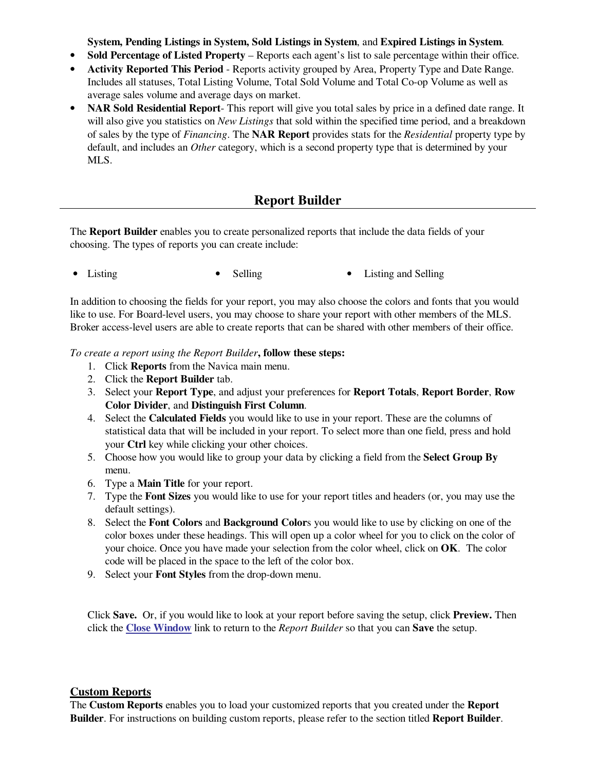**System, Pending Listings in System, Sold Listings in System**, and **Expired Listings in System**.

- **Sold Percentage of Listed Property**  Reports each agent's list to sale percentage within their office.
- **Activity Reported This Period**  Reports activity grouped by Area, Property Type and Date Range. Includes all statuses, Total Listing Volume, Total Sold Volume and Total Co-op Volume as well as average sales volume and average days on market.
- **NAR Sold Residential Report** This report will give you total sales by price in a defined date range. It will also give you statistics on *New Listings* that sold within the specified time period, and a breakdown of sales by the type of *Financing*. The **NAR Report** provides stats for the *Residential* property type by default, and includes an *Other* category, which is a second property type that is determined by your MLS.

## **Report Builder**

The **Report Builder** enables you to create personalized reports that include the data fields of your choosing. The types of reports you can create include:

• Listing • Selling • Selling • Listing and Selling

In addition to choosing the fields for your report, you may also choose the colors and fonts that you would like to use. For Board-level users, you may choose to share your report with other members of the MLS. Broker access-level users are able to create reports that can be shared with other members of their office.

*To create a report using the Report Builder***, follow these steps:** 

- 1. Click **Reports** from the Navica main menu.
- 2. Click the **Report Builder** tab.
- 3. Select your **Report Type**, and adjust your preferences for **Report Totals**, **Report Border**, **Row Color Divider**, and **Distinguish First Column**.
- 4. Select the **Calculated Fields** you would like to use in your report. These are the columns of statistical data that will be included in your report. To select more than one field, press and hold your **Ctrl** key while clicking your other choices.
- 5. Choose how you would like to group your data by clicking a field from the **Select Group By** menu.
- 6. Type a **Main Title** for your report.
- 7. Type the **Font Sizes** you would like to use for your report titles and headers (or, you may use the default settings).
- 8. Select the **Font Colors** and **Background Color**s you would like to use by clicking on one of the color boxes under these headings. This will open up a color wheel for you to click on the color of your choice. Once you have made your selection from the color wheel, click on **OK**. The color code will be placed in the space to the left of the color box.
- 9. Select your **Font Styles** from the drop-down menu.

Click **Save.** Or, if you would like to look at your report before saving the setup, click **Preview.** Then click the **Close Window** link to return to the *Report Builder* so that you can **Save** the setup.

#### **Custom Reports**

The **Custom Reports** enables you to load your customized reports that you created under the **Report Builder**. For instructions on building custom reports, please refer to the section titled **Report Builder**.